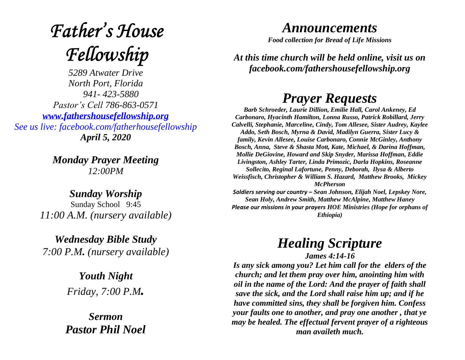# **Father's House** Fellowship

*5289 Atwater Drive North Port, Florida 941- 423-5880 Pastor's Cell 786-863-0571 [www.fathershousefellowship.org](http://www.fathershousefellowship.org/) See us live: facebook.com/fatherhousefellowship April 5, 2020*

> *Monday Prayer Meeting 12:00PM*

*Sunday Worship* Sunday School 9:45 *11:00 A.M. (nursery available)*

*Wednesday Bible Study 7:00 P.M. (nursery available)*

> *Youth Night Friday, 7:00 P.M.*

*Sermon Pastor Phil Noel*

### *Announcements*

*Food collection for Bread of Life Missions*

*At this time church will be held online, visit us on facebook.com/fathershousefellowship.org*

# *Prayer Requests*

*Barb Schroeder, Laurie Dillion, Emilie Hall, Carol Ankeney, Ed Carbonaro, Hyacinth Hamilton, Lonna Russo, Patrick Robillard, Jerry Calvelli, Stephanie, Marceline, Cindy, Tom Allesee, Sister Audrey, Kaylee Addo, Seth Bosch, Myrna & David, Madilyn Guerra, Sister Lucy & family, Kevin Allesee, Louise Carbonaro, Connie McGinley, Anthony Bosch, Anna, Steve & Shasta Mott, Kate, Michael, & Darina Hoffman, Mollie DeGiovine, Howard and Skip Snyder, Marissa Hoffman, Eddie Livingston, Ashley Tarter, Linda Primozic, Darla Hopkins, Roseanne Sollecito, Reginal Lafortune, Penny, Deborah, Ilysa & Alberto Weissfisch, Christopher & William S. Hazard, Matthew Brooks, Mickey McPherson* 

*Soldiers serving our country – Sean Johnson, Elijah Noel, Lepskey Nore, Sean Holy, Andrew Smith, Matthew McAlpine, Matthew Haney Please our missions in your prayers HOE Ministries (Hope for orphans of Ethiopia)*

## *Healing Scripture James 4:14-16*

*Is any sick among you? Let him call for the elders of the church; and let them pray over him, anointing him with oil in the name of the Lord: And the prayer of faith shall save the sick, and the Lord shall raise him up; and if he have committed sins, they shall be forgiven him. Confess your faults one to another, and pray one another , that ye may be healed. The effectual fervent prayer of a righteous man availeth much.*